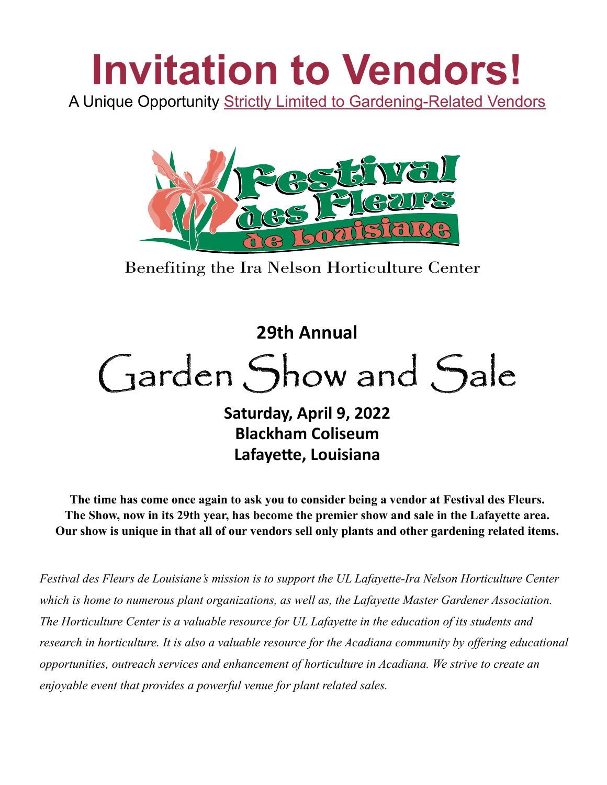# **Invitation to Vendors!**

A Unique Opportunity Strictly Limited to Gardening-Related Vendors



Benefiting the Ira Nelson Horticulture Center



**The time has come once again to ask you to consider being a vendor at Festival des Fleurs. The Show, now in its 29th year, has become the premier show and sale in the Lafayette area. Our show is unique in that all of our vendors sell only plants and other gardening related items.**

*Festival des Fleurs de Louisiane's mission is to support the UL Lafayette-Ira Nelson Horticulture Center which is home to numerous plant organizations, as well as, the Lafayette Master Gardener Association. The Horticulture Center is a valuable resource for UL Lafayette in the education of its students and research in horticulture. It is also a valuable resource for the Acadiana community by offering educational opportunities, outreach services and enhancement of horticulture in Acadiana. We strive to create an enjoyable event that provides a powerful venue for plant related sales.*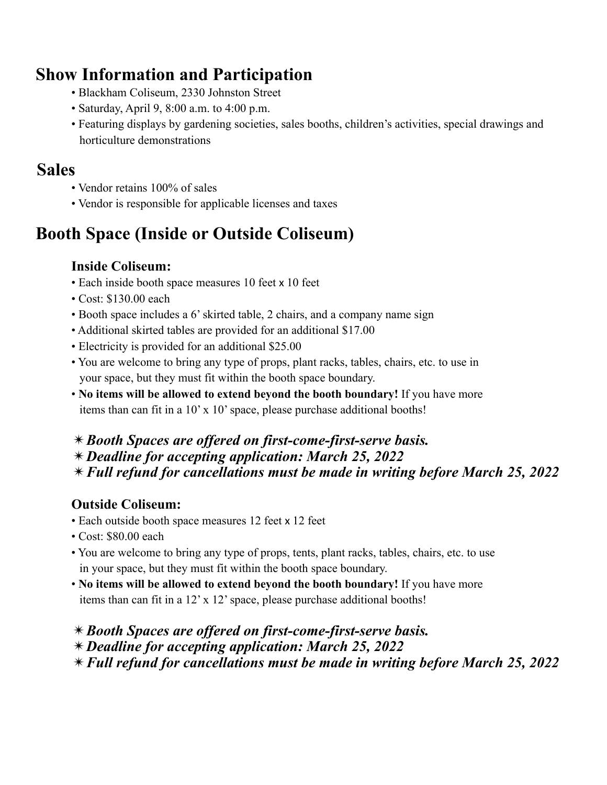## **Show Information and Participation**

- Blackham Coliseum, 2330 Johnston Street
- Saturday, April 9, 8:00 a.m. to 4:00 p.m.
- Featuring displays by gardening societies, sales booths, children's activities, special drawings and horticulture demonstrations

### **Sales**

- Vendor retains 100% of sales
- Vendor is responsible for applicable licenses and taxes

## **Booth Space (Inside or Outside Coliseum)**

#### **Inside Coliseum:**

- Each inside booth space measures 10 feet x 10 feet
- Cost: \$130.00 each
- Booth space includes a 6' skirted table, 2 chairs, and a company name sign
- Additional skirted tables are provided for an additional \$17.00
- Electricity is provided for an additional \$25.00
- You are welcome to bring any type of props, plant racks, tables, chairs, etc. to use in your space, but they must fit within the booth space boundary.
- **No items will be allowed to extend beyond the booth boundary!** If you have more items than can fit in a 10' x 10' space, please purchase additional booths!

#### ✴*Booth Spaces are offered on first-come-first-serve basis.* ✴*Deadline for accepting application: March 25, 2022* ✴*Full refund for cancellations must be made in writing before March 25, 2022*

#### **Outside Coliseum:**

- Each outside booth space measures 12 feet x 12 feet
- Cost: \$80.00 each
- You are welcome to bring any type of props, tents, plant racks, tables, chairs, etc. to use in your space, but they must fit within the booth space boundary.
- **No items will be allowed to extend beyond the booth boundary!** If you have more items than can fit in a 12' x 12' space, please purchase additional booths!
- ✴*Booth Spaces are offered on first-come-first-serve basis.*
- ✴*Deadline for accepting application: March 25, 2022*
- ✴*Full refund for cancellations must be made in writing before March 25, 2022*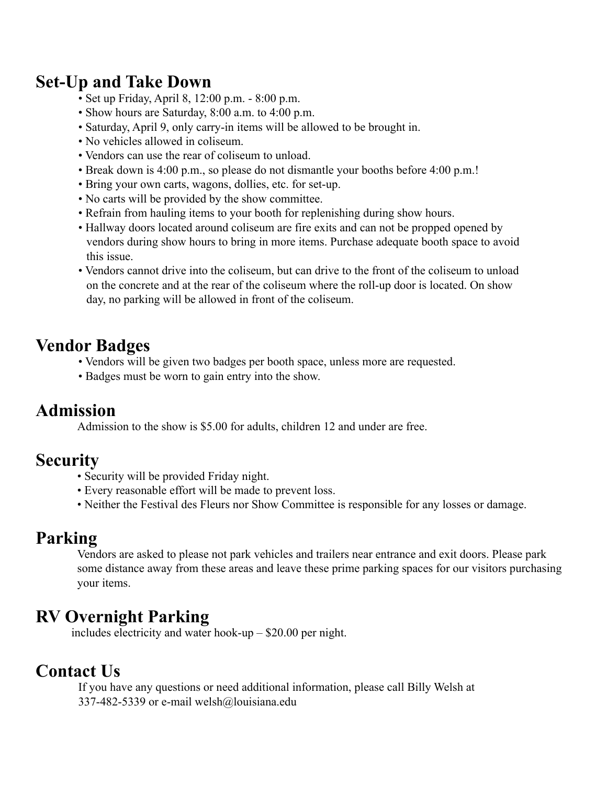### **Set-Up and Take Down**

- Set up Friday, April 8, 12:00 p.m. 8:00 p.m.
- Show hours are Saturday, 8:00 a.m. to 4:00 p.m.
- Saturday, April 9, only carry-in items will be allowed to be brought in.
- No vehicles allowed in coliseum.
- Vendors can use the rear of coliseum to unload.
- Break down is 4:00 p.m., so please do not dismantle your booths before 4:00 p.m.!
- Bring your own carts, wagons, dollies, etc. for set-up.
- No carts will be provided by the show committee.
- Refrain from hauling items to your booth for replenishing during show hours.
- Hallway doors located around coliseum are fire exits and can not be propped opened by vendors during show hours to bring in more items. Purchase adequate booth space to avoid this issue.
- Vendors cannot drive into the coliseum, but can drive to the front of the coliseum to unload on the concrete and at the rear of the coliseum where the roll-up door is located. On show day, no parking will be allowed in front of the coliseum.

#### **Vendor Badges**

- Vendors will be given two badges per booth space, unless more are requested.
- Badges must be worn to gain entry into the show.

#### **Admission**

Admission to the show is \$5.00 for adults, children 12 and under are free.

#### **Security**

- Security will be provided Friday night.
- Every reasonable effort will be made to prevent loss.
- Neither the Festival des Fleurs nor Show Committee is responsible for any losses or damage.

#### **Parking**

Vendors are asked to please not park vehicles and trailers near entrance and exit doors. Please park some distance away from these areas and leave these prime parking spaces for our visitors purchasing your items.

#### **RV Overnight Parking**

includes electricity and water hook-up – \$20.00 per night.

#### **Contact Us**

If you have any questions or need additional information, please call Billy Welsh at 337-482-5339 or e-mail welsh@louisiana.edu